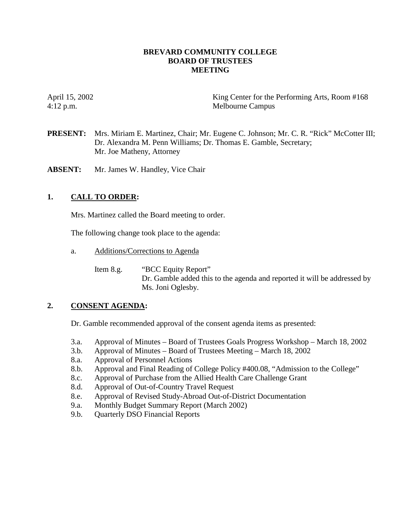# **BREVARD COMMUNITY COLLEGE BOARD OF TRUSTEES MEETING**

April 15, 2002 King Center for the Performing Arts, Room #168 4:12 p.m. Melbourne Campus

**PRESENT:** Mrs. Miriam E. Martinez, Chair; Mr. Eugene C. Johnson; Mr. C. R. "Rick" McCotter III; Dr. Alexandra M. Penn Williams; Dr. Thomas E. Gamble, Secretary; Mr. Joe Matheny, Attorney

**ABSENT:** Mr. James W. Handley, Vice Chair

# **1. CALL TO ORDER:**

Mrs. Martinez called the Board meeting to order.

The following change took place to the agenda:

a. Additions/Corrections to Agenda

Item 8.g. "BCC Equity Report" Dr. Gamble added this to the agenda and reported it will be addressed by Ms. Joni Oglesby.

# **2. CONSENT AGENDA:**

Dr. Gamble recommended approval of the consent agenda items as presented:

- 3.a. Approval of Minutes Board of Trustees Goals Progress Workshop March 18, 2002
- 3.b. Approval of Minutes Board of Trustees Meeting March 18, 2002
- 8.a. Approval of Personnel Actions
- 8.b. Approval and Final Reading of College Policy #400.08, "Admission to the College"
- 8.c. Approval of Purchase from the Allied Health Care Challenge Grant
- 8.d. Approval of Out-of-Country Travel Request
- 8.e. Approval of Revised Study-Abroad Out-of-District Documentation
- 9.a. Monthly Budget Summary Report (March 2002)
- 9.b. Quarterly DSO Financial Reports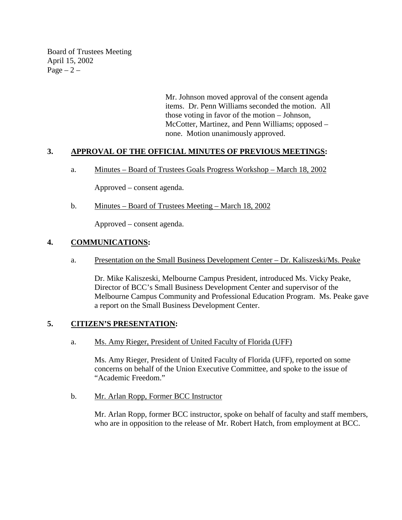Board of Trustees Meeting April 15, 2002  $Page - 2 -$ 

> Mr. Johnson moved approval of the consent agenda items. Dr. Penn Williams seconded the motion. All those voting in favor of the motion – Johnson, McCotter, Martinez, and Penn Williams; opposed – none. Motion unanimously approved.

# **3. APPROVAL OF THE OFFICIAL MINUTES OF PREVIOUS MEETINGS:**

a. Minutes – Board of Trustees Goals Progress Workshop – March 18, 2002

Approved – consent agenda.

b. Minutes – Board of Trustees Meeting – March 18, 2002

Approved – consent agenda.

# **4. COMMUNICATIONS:**

a. Presentation on the Small Business Development Center – Dr. Kaliszeski/Ms. Peake

Dr. Mike Kaliszeski, Melbourne Campus President, introduced Ms. Vicky Peake, Director of BCC's Small Business Development Center and supervisor of the Melbourne Campus Community and Professional Education Program. Ms. Peake gave a report on the Small Business Development Center.

### **5. CITIZEN'S PRESENTATION:**

a. Ms. Amy Rieger, President of United Faculty of Florida (UFF)

Ms. Amy Rieger, President of United Faculty of Florida (UFF), reported on some concerns on behalf of the Union Executive Committee, and spoke to the issue of "Academic Freedom."

b. Mr. Arlan Ropp, Former BCC Instructor

Mr. Arlan Ropp, former BCC instructor, spoke on behalf of faculty and staff members, who are in opposition to the release of Mr. Robert Hatch, from employment at BCC.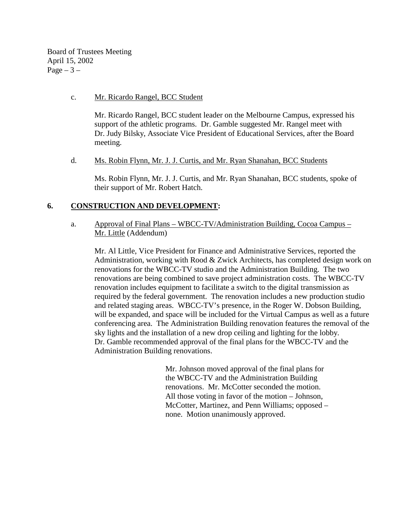Board of Trustees Meeting April 15, 2002 Page  $-3-$ 

### c. Mr. Ricardo Rangel, BCC Student

Mr. Ricardo Rangel, BCC student leader on the Melbourne Campus, expressed his support of the athletic programs. Dr. Gamble suggested Mr. Rangel meet with Dr. Judy Bilsky, Associate Vice President of Educational Services, after the Board meeting.

### d. Ms. Robin Flynn, Mr. J. J. Curtis, and Mr. Ryan Shanahan, BCC Students

Ms. Robin Flynn, Mr. J. J. Curtis, and Mr. Ryan Shanahan, BCC students, spoke of their support of Mr. Robert Hatch.

# **6. CONSTRUCTION AND DEVELOPMENT:**

## a. Approval of Final Plans – WBCC-TV/Administration Building, Cocoa Campus – Mr. Little (Addendum)

Mr. Al Little, Vice President for Finance and Administrative Services, reported the Administration, working with Rood & Zwick Architects, has completed design work on renovations for the WBCC-TV studio and the Administration Building. The two renovations are being combined to save project administration costs. The WBCC-TV renovation includes equipment to facilitate a switch to the digital transmission as required by the federal government. The renovation includes a new production studio and related staging areas. WBCC-TV's presence, in the Roger W. Dobson Building, will be expanded, and space will be included for the Virtual Campus as well as a future conferencing area. The Administration Building renovation features the removal of the sky lights and the installation of a new drop ceiling and lighting for the lobby. Dr. Gamble recommended approval of the final plans for the WBCC-TV and the Administration Building renovations.

> Mr. Johnson moved approval of the final plans for the WBCC-TV and the Administration Building renovations. Mr. McCotter seconded the motion. All those voting in favor of the motion – Johnson, McCotter, Martinez, and Penn Williams; opposed – none. Motion unanimously approved.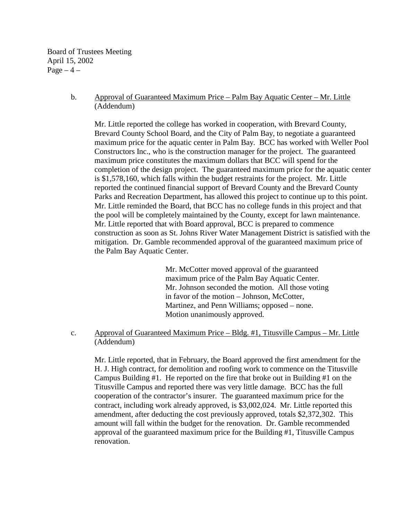Board of Trustees Meeting April 15, 2002  $Page-4$  –

## b. Approval of Guaranteed Maximum Price – Palm Bay Aquatic Center – Mr. Little (Addendum)

Mr. Little reported the college has worked in cooperation, with Brevard County, Brevard County School Board, and the City of Palm Bay, to negotiate a guaranteed maximum price for the aquatic center in Palm Bay. BCC has worked with Weller Pool Constructors Inc., who is the construction manager for the project. The guaranteed maximum price constitutes the maximum dollars that BCC will spend for the completion of the design project. The guaranteed maximum price for the aquatic center is \$1,578,160, which falls within the budget restraints for the project. Mr. Little reported the continued financial support of Brevard County and the Brevard County Parks and Recreation Department, has allowed this project to continue up to this point. Mr. Little reminded the Board, that BCC has no college funds in this project and that the pool will be completely maintained by the County, except for lawn maintenance. Mr. Little reported that with Board approval, BCC is prepared to commence construction as soon as St. Johns River Water Management District is satisfied with the mitigation. Dr. Gamble recommended approval of the guaranteed maximum price of the Palm Bay Aquatic Center.

> Mr. McCotter moved approval of the guaranteed maximum price of the Palm Bay Aquatic Center. Mr. Johnson seconded the motion. All those voting in favor of the motion – Johnson, McCotter, Martinez, and Penn Williams; opposed – none. Motion unanimously approved.

### c. Approval of Guaranteed Maximum Price – Bldg. #1, Titusville Campus – Mr. Little (Addendum)

Mr. Little reported, that in February, the Board approved the first amendment for the H. J. High contract, for demolition and roofing work to commence on the Titusville Campus Building #1. He reported on the fire that broke out in Building #1 on the Titusville Campus and reported there was very little damage. BCC has the full cooperation of the contractor's insurer. The guaranteed maximum price for the contract, including work already approved, is \$3,002,024. Mr. Little reported this amendment, after deducting the cost previously approved, totals \$2,372,302. This amount will fall within the budget for the renovation. Dr. Gamble recommended approval of the guaranteed maximum price for the Building #1, Titusville Campus renovation.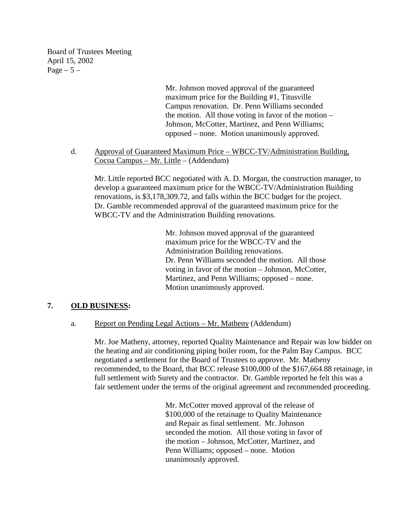Board of Trustees Meeting April 15, 2002 Page  $-5-$ 

> Mr. Johnson moved approval of the guaranteed maximum price for the Building #1, Titusville Campus renovation. Dr. Penn Williams seconded the motion. All those voting in favor of the motion – Johnson, McCotter, Martinez, and Penn Williams; opposed – none. Motion unanimously approved.

d. Approval of Guaranteed Maximum Price – WBCC-TV/Administration Building, Cocoa Campus – Mr. Little – (Addendum)

Mr. Little reported BCC negotiated with A. D. Morgan, the construction manager, to develop a guaranteed maximum price for the WBCC-TV/Administration Building renovations, is \$3,178,309.72, and falls within the BCC budget for the project. Dr. Gamble recommended approval of the guaranteed maximum price for the WBCC-TV and the Administration Building renovations.

> Mr. Johnson moved approval of the guaranteed maximum price for the WBCC-TV and the Administration Building renovations. Dr. Penn Williams seconded the motion. All those voting in favor of the motion – Johnson, McCotter, Martinez, and Penn Williams; opposed – none. Motion unanimously approved.

# **7. OLD BUSINESS:**

a. Report on Pending Legal Actions – Mr. Matheny (Addendum)

Mr. Joe Matheny, attorney, reported Quality Maintenance and Repair was low bidder on the heating and air conditioning piping boiler room, for the Palm Bay Campus. BCC negotiated a settlement for the Board of Trustees to approve. Mr. Matheny recommended, to the Board, that BCC release \$100,000 of the \$167,664.88 retainage, in full settlement with Surety and the contractor. Dr. Gamble reported he felt this was a fair settlement under the terms of the original agreement and recommended proceeding.

> Mr. McCotter moved approval of the release of \$100,000 of the retainage to Quality Maintenance and Repair as final settlement. Mr. Johnson seconded the motion. All those voting in favor of the motion – Johnson, McCotter, Martinez, and Penn Williams; opposed – none. Motion unanimously approved.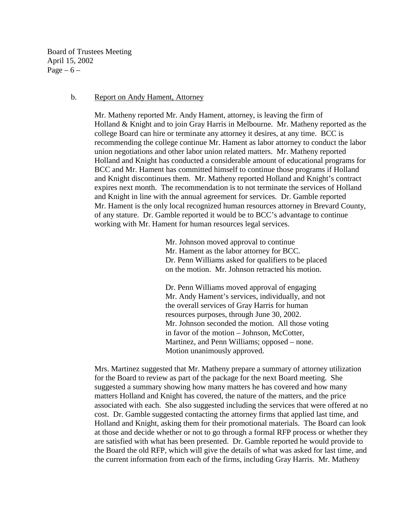Board of Trustees Meeting April 15, 2002 Page  $-6$  –

#### b. Report on Andy Hament, Attorney

 Mr. Matheny reported Mr. Andy Hament, attorney, is leaving the firm of Holland & Knight and to join Gray Harris in Melbourne. Mr. Matheny reported as the college Board can hire or terminate any attorney it desires, at any time. BCC is recommending the college continue Mr. Hament as labor attorney to conduct the labor union negotiations and other labor union related matters. Mr. Matheny reported Holland and Knight has conducted a considerable amount of educational programs for BCC and Mr. Hament has committed himself to continue those programs if Holland and Knight discontinues them. Mr. Matheny reported Holland and Knight's contract expires next month. The recommendation is to not terminate the services of Holland and Knight in line with the annual agreement for services. Dr. Gamble reported Mr. Hament is the only local recognized human resources attorney in Brevard County, of any stature. Dr. Gamble reported it would be to BCC's advantage to continue working with Mr. Hament for human resources legal services.

> Mr. Johnson moved approval to continue Mr. Hament as the labor attorney for BCC. Dr. Penn Williams asked for qualifiers to be placed on the motion. Mr. Johnson retracted his motion.

Dr. Penn Williams moved approval of engaging Mr. Andy Hament's services, individually, and not the overall services of Gray Harris for human resources purposes, through June 30, 2002. Mr. Johnson seconded the motion. All those voting in favor of the motion – Johnson, McCotter, Martinez, and Penn Williams; opposed – none. Motion unanimously approved.

Mrs. Martinez suggested that Mr. Matheny prepare a summary of attorney utilization for the Board to review as part of the package for the next Board meeting. She suggested a summary showing how many matters he has covered and how many matters Holland and Knight has covered, the nature of the matters, and the price associated with each. She also suggested including the services that were offered at no cost. Dr. Gamble suggested contacting the attorney firms that applied last time, and Holland and Knight, asking them for their promotional materials. The Board can look at those and decide whether or not to go through a formal RFP process or whether they are satisfied with what has been presented. Dr. Gamble reported he would provide to the Board the old RFP, which will give the details of what was asked for last time, and the current information from each of the firms, including Gray Harris. Mr. Matheny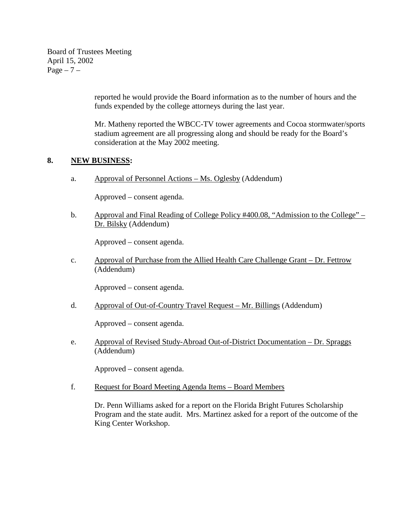Board of Trustees Meeting April 15, 2002 Page  $-7$  –

> reported he would provide the Board information as to the number of hours and the funds expended by the college attorneys during the last year.

Mr. Matheny reported the WBCC-TV tower agreements and Cocoa stormwater/sports stadium agreement are all progressing along and should be ready for the Board's consideration at the May 2002 meeting.

# **8. NEW BUSINESS:**

a. Approval of Personnel Actions – Ms. Oglesby (Addendum)

Approved – consent agenda.

b. Approval and Final Reading of College Policy #400.08, "Admission to the College" – Dr. Bilsky (Addendum)

Approved – consent agenda.

c. Approval of Purchase from the Allied Health Care Challenge Grant – Dr. Fettrow (Addendum)

Approved – consent agenda.

d. Approval of Out-of-Country Travel Request – Mr. Billings (Addendum)

Approved – consent agenda.

e. Approval of Revised Study-Abroad Out-of-District Documentation – Dr. Spraggs (Addendum)

Approved – consent agenda.

f. Request for Board Meeting Agenda Items – Board Members

Dr. Penn Williams asked for a report on the Florida Bright Futures Scholarship Program and the state audit. Mrs. Martinez asked for a report of the outcome of the King Center Workshop.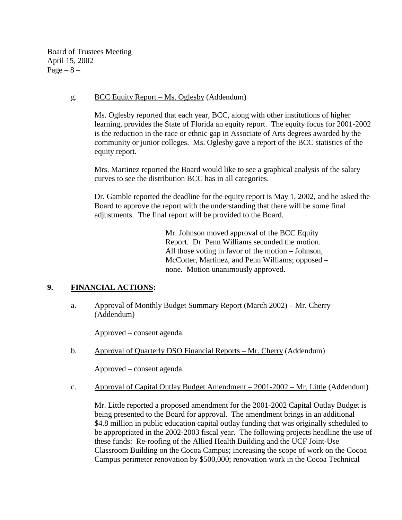Board of Trustees Meeting April 15, 2002  $Page - 8 -$ 

## g. BCC Equity Report – Ms. Oglesby (Addendum)

Ms. Oglesby reported that each year, BCC, along with other institutions of higher learning, provides the State of Florida an equity report. The equity focus for 2001-2002 is the reduction in the race or ethnic gap in Associate of Arts degrees awarded by the community or junior colleges. Ms. Oglesby gave a report of the BCC statistics of the equity report.

Mrs. Martinez reported the Board would like to see a graphical analysis of the salary curves to see the distribution BCC has in all categories.

Dr. Gamble reported the deadline for the equity report is May 1, 2002, and he asked the Board to approve the report with the understanding that there will be some final adjustments. The final report will be provided to the Board.

> Mr. Johnson moved approval of the BCC Equity Report. Dr. Penn Williams seconded the motion. All those voting in favor of the motion – Johnson, McCotter, Martinez, and Penn Williams; opposed – none. Motion unanimously approved.

# **9. FINANCIAL ACTIONS:**

a. Approval of Monthly Budget Summary Report (March 2002) – Mr. Cherry (Addendum)

Approved – consent agenda.

b. Approval of Quarterly DSO Financial Reports – Mr. Cherry (Addendum)

Approved – consent agenda.

c. Approval of Capital Outlay Budget Amendment – 2001-2002 – Mr. Little (Addendum)

 Mr. Little reported a proposed amendment for the 2001-2002 Capital Outlay Budget is being presented to the Board for approval. The amendment brings in an additional \$4.8 million in public education capital outlay funding that was originally scheduled to be appropriated in the 2002-2003 fiscal year. The following projects headline the use of these funds: Re-roofing of the Allied Health Building and the UCF Joint-Use Classroom Building on the Cocoa Campus; increasing the scope of work on the Cocoa Campus perimeter renovation by \$500,000; renovation work in the Cocoa Technical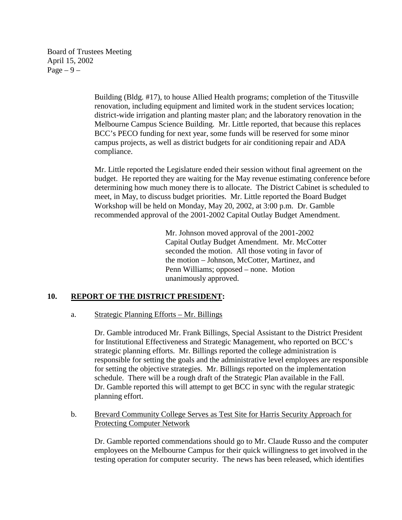Board of Trustees Meeting April 15, 2002 Page  $-9-$ 

> Building (Bldg. #17), to house Allied Health programs; completion of the Titusville renovation, including equipment and limited work in the student services location; district-wide irrigation and planting master plan; and the laboratory renovation in the Melbourne Campus Science Building. Mr. Little reported, that because this replaces BCC's PECO funding for next year, some funds will be reserved for some minor campus projects, as well as district budgets for air conditioning repair and ADA compliance.

 Mr. Little reported the Legislature ended their session without final agreement on the budget. He reported they are waiting for the May revenue estimating conference before determining how much money there is to allocate. The District Cabinet is scheduled to meet, in May, to discuss budget priorities. Mr. Little reported the Board Budget Workshop will be held on Monday, May 20, 2002, at 3:00 p.m. Dr. Gamble recommended approval of the 2001-2002 Capital Outlay Budget Amendment.

> Mr. Johnson moved approval of the 2001-2002 Capital Outlay Budget Amendment. Mr. McCotter seconded the motion. All those voting in favor of the motion – Johnson, McCotter, Martinez, and Penn Williams; opposed – none. Motion unanimously approved.

# **10. REPORT OF THE DISTRICT PRESIDENT:**

a. Strategic Planning Efforts – Mr. Billings

Dr. Gamble introduced Mr. Frank Billings, Special Assistant to the District President for Institutional Effectiveness and Strategic Management, who reported on BCC's strategic planning efforts. Mr. Billings reported the college administration is responsible for setting the goals and the administrative level employees are responsible for setting the objective strategies. Mr. Billings reported on the implementation schedule. There will be a rough draft of the Strategic Plan available in the Fall. Dr. Gamble reported this will attempt to get BCC in sync with the regular strategic planning effort.

 b. Brevard Community College Serves as Test Site for Harris Security Approach for Protecting Computer Network

Dr. Gamble reported commendations should go to Mr. Claude Russo and the computer employees on the Melbourne Campus for their quick willingness to get involved in the testing operation for computer security. The news has been released, which identifies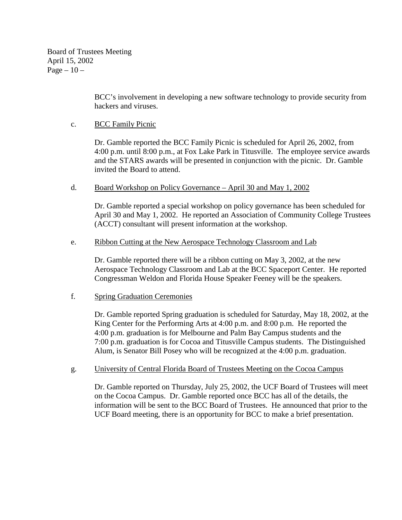Board of Trustees Meeting April 15, 2002 Page  $-10-$ 

> BCC's involvement in developing a new software technology to provide security from hackers and viruses.

## c. BCC Family Picnic

Dr. Gamble reported the BCC Family Picnic is scheduled for April 26, 2002, from 4:00 p.m. until 8:00 p.m., at Fox Lake Park in Titusville. The employee service awards and the STARS awards will be presented in conjunction with the picnic. Dr. Gamble invited the Board to attend.

d. Board Workshop on Policy Governance – April 30 and May 1, 2002

Dr. Gamble reported a special workshop on policy governance has been scheduled for April 30 and May 1, 2002. He reported an Association of Community College Trustees (ACCT) consultant will present information at the workshop.

### e. Ribbon Cutting at the New Aerospace Technology Classroom and Lab

Dr. Gamble reported there will be a ribbon cutting on May 3, 2002, at the new Aerospace Technology Classroom and Lab at the BCC Spaceport Center. He reported Congressman Weldon and Florida House Speaker Feeney will be the speakers.

### f. Spring Graduation Ceremonies

Dr. Gamble reported Spring graduation is scheduled for Saturday, May 18, 2002, at the King Center for the Performing Arts at 4:00 p.m. and 8:00 p.m. He reported the 4:00 p.m. graduation is for Melbourne and Palm Bay Campus students and the 7:00 p.m. graduation is for Cocoa and Titusville Campus students. The Distinguished Alum, is Senator Bill Posey who will be recognized at the 4:00 p.m. graduation.

### g. University of Central Florida Board of Trustees Meeting on the Cocoa Campus

Dr. Gamble reported on Thursday, July 25, 2002, the UCF Board of Trustees will meet on the Cocoa Campus. Dr. Gamble reported once BCC has all of the details, the information will be sent to the BCC Board of Trustees. He announced that prior to the UCF Board meeting, there is an opportunity for BCC to make a brief presentation.